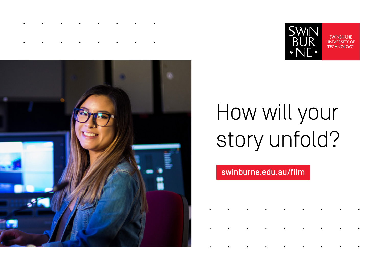



# How will your story unfold?

### swinburne.edu.au/film